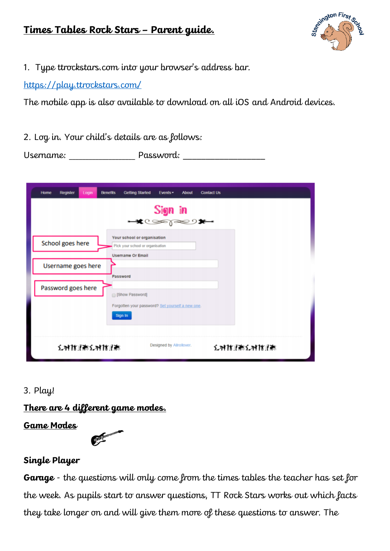# **Times Tables Rock Stars – Parent guide.**



1. Type ttrockstars.com into your browser's address bar.

<https://play.ttrockstars.com/>

The mobile app is also available to download on all iOS and Android devices.

2. Log in. Your child's details are as follows:

Username: \_\_\_\_\_\_\_\_\_\_\_\_\_\_\_\_\_\_\_\_ Password: \_\_\_\_\_\_\_\_\_\_\_\_\_\_\_\_\_\_

| Login<br><b>Benefits</b><br>Home<br><b>Register</b> | <b>Getting Started</b><br>Events -<br><b>About</b>                                          | <b>Contact Us</b> |
|-----------------------------------------------------|---------------------------------------------------------------------------------------------|-------------------|
|                                                     | $S$ ign in<br>$\star$                                                                       |                   |
| School goes here                                    | Your school or organisation<br>Pick your school or organisation<br><b>Username Or Email</b> |                   |
| Username goes here                                  | Password                                                                                    |                   |
| Password goes here                                  | [Show Password]<br>Forgotten your password? Set yourself a new one.<br>Sign In              |                   |
| メオサガバスオサガ                                           | Designed by Allrollover.                                                                    | メオサルまメオサルま        |

# 3. Play!

**There are 4 different game modes.**

**Game Modes**



# **Single Player**

**Garage** - the questions will only come from the times tables the teacher has set for the week. As pupils start to answer questions, TT Rock Stars works out which facts they take longer on and will give them more of these questions to answer. The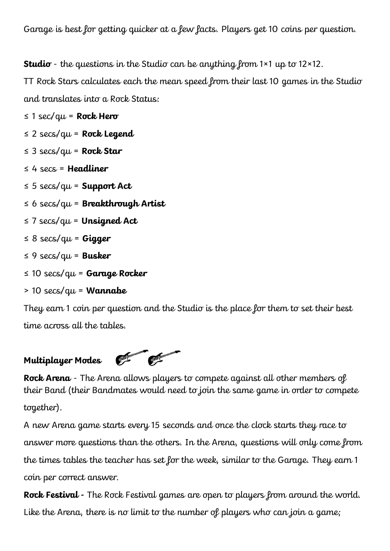Garage is best for getting quicker at a few facts. Players get 10 coins per question.

**Studio** - the questions in the Studio can be anything from 1×1 up to 12×12.

TT Rock Stars calculates each the mean speed from their last 10 games in the Studio and translates into a Rock Status:

≤ 1 sec/qu = **Rock Hero**

≤ 2 secs/qu = **Rock Legend**

- ≤ 3 secs/qu = **Rock Star**
- ≤ 4 secs = **Headliner**
- ≤ 5 secs/qu = **Support Act**
- ≤ 6 secs/qu = **Breakthrough Artist**
- ≤ 7 secs/qu = **Unsigned Act**
- ≤ 8 secs/qu = **Gigger**
- ≤ 9 secs/qu = **Busker**
- ≤ 10 secs/qu = **Garage Rocker**
- > 10 secs/qu = **Wannabe**

They earn 1 coin per question and the Studio is the place for them to set their best time across all the tables.



**Rock Arena** - The Arena allows players to compete against all other members of their Band (their Bandmates would need to join the same game in order to compete together).

A new Arena game starts every 15 seconds and once the clock starts they race to answer more questions than the others. In the Arena, questions will only come from the times tables the teacher has set for the week, similar to the Garage. They earn 1 coin per correct answer.

**Rock Festival -** The Rock Festival games are open to players from around the world. Like the Arena, there is no limit to the number of players who can join a game;